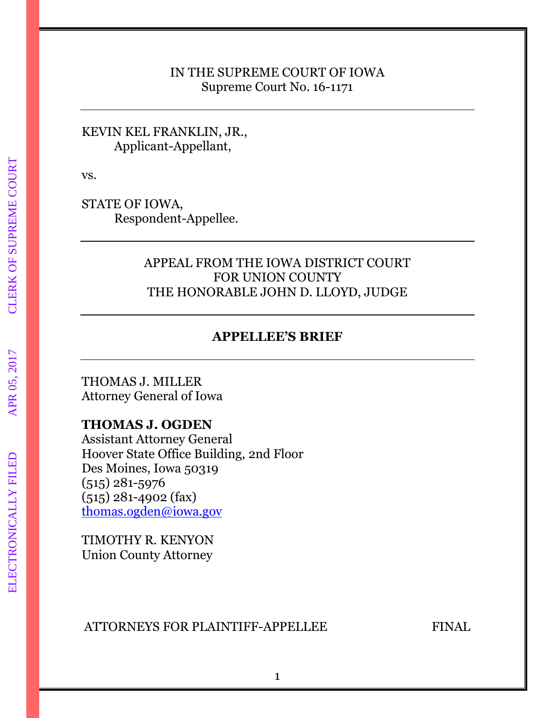### IN THE SUPREME COURT OF IOWA Supreme Court No. 16-1171

KEVIN KEL FRANKLIN, JR., Applicant-Appellant,

vs.

STATE OF IOWA, Respondent-Appellee.

## APPEAL FROM THE IOWA DISTRICT COURT FOR UNION COUNTY THE HONORABLE JOHN D. LLOYD, JUDGE

## **APPELLEE'S BRIEF**

THOMAS J. MILLER Attorney General of Iowa

## **THOMAS J. OGDEN**

Assistant Attorney General Hoover State Office Building, 2nd Floor Des Moines, Iowa 50319 (515) 281-5976 (515) 281-4902 (fax) [thomas.ogden@iowa.gov](mailto:thomas.ogden@iowa.gov)

TIMOTHY R. KENYON Union County Attorney

### ATTORNEYS FOR PLAINTIFF-APPELLEE FINAL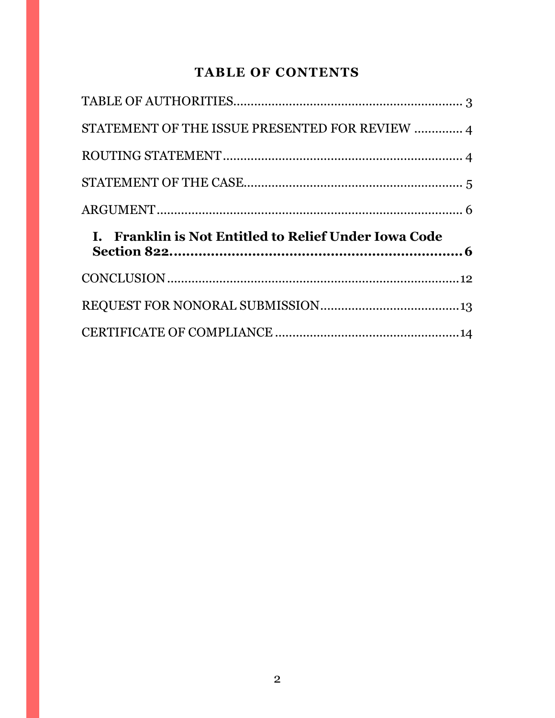# **TABLE OF CONTENTS**

| STATEMENT OF THE ISSUE PRESENTED FOR REVIEW  4        |  |
|-------------------------------------------------------|--|
|                                                       |  |
|                                                       |  |
|                                                       |  |
|                                                       |  |
| I. Franklin is Not Entitled to Relief Under Iowa Code |  |
|                                                       |  |
|                                                       |  |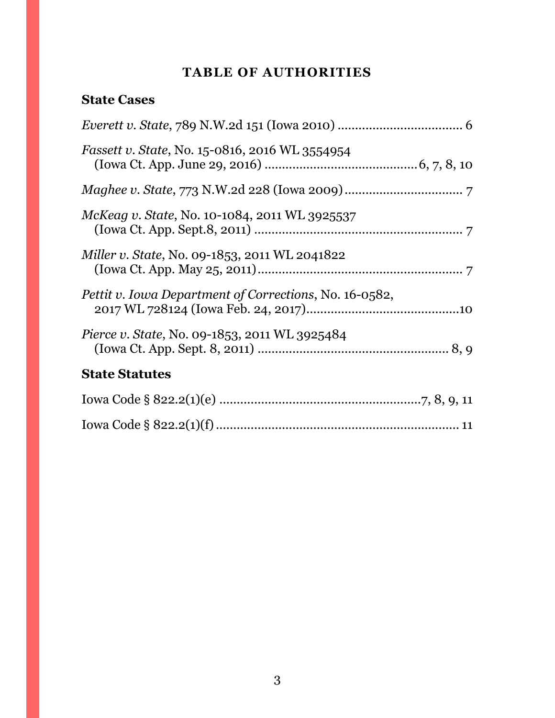# **TABLE OF AUTHORITIES**

# <span id="page-2-0"></span>**State Cases**

| <i>Fassett v. State, No.</i> 15-0816, 2016 WL 3554954  |
|--------------------------------------------------------|
|                                                        |
| McKeag v. State, No. 10-1084, 2011 WL 3925537          |
| <i>Miller v. State, No. 09-1853, 2011 WL 2041822</i>   |
| Pettit v. Iowa Department of Corrections, No. 16-0582, |
| <i>Pierce v. State, No. 09-1853, 2011 WL 3925484</i>   |
| <b>State Statutes</b>                                  |
|                                                        |
|                                                        |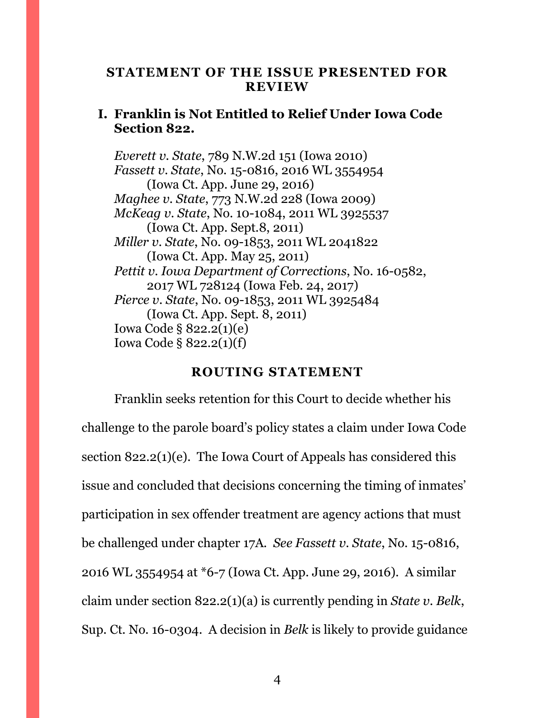#### <span id="page-3-0"></span>**STATEMENT OF THE ISSUE PRESENTED FOR REVIEW**

## **I. Franklin is Not Entitled to Relief Under Iowa Code Section 822.**

*Everett v. State*, 789 N.W.2d 151 (Iowa 2010) *Fassett v. State*, No. 15-0816, 2016 WL 3554954 (Iowa Ct. App. June 29, 2016) *Maghee v. State*, 773 N.W.2d 228 (Iowa 2009) *McKeag v. State*, No. 10-1084, 2011 WL 3925537 (Iowa Ct. App. Sept.8, 2011) *Miller v. State*, No. 09-1853, 2011 WL 2041822 (Iowa Ct. App. May 25, 2011) *Pettit v. Iowa Department of Corrections*, No. 16-0582, 2017 WL 728124 (Iowa Feb. 24, 2017) *Pierce v. State*, No. 09-1853, 2011 WL 3925484 (Iowa Ct. App. Sept. 8, 2011) Iowa Code § 822.2(1)(e) Iowa Code § 822.2(1)(f)

#### **ROUTING STATEMENT**

<span id="page-3-1"></span>Franklin seeks retention for this Court to decide whether his challenge to the parole board's policy states a claim under Iowa Code section 822.2(1)(e). The Iowa Court of Appeals has considered this issue and concluded that decisions concerning the timing of inmates' participation in sex offender treatment are agency actions that must be challenged under chapter 17A. *See Fassett v. State*, No. 15-0816, 2016 WL 3554954 at \*6-7 (Iowa Ct. App. June 29, 2016). A similar claim under section 822.2(1)(a) is currently pending in *State v. Belk*, Sup. Ct. No. 16-0304. A decision in *Belk* is likely to provide guidance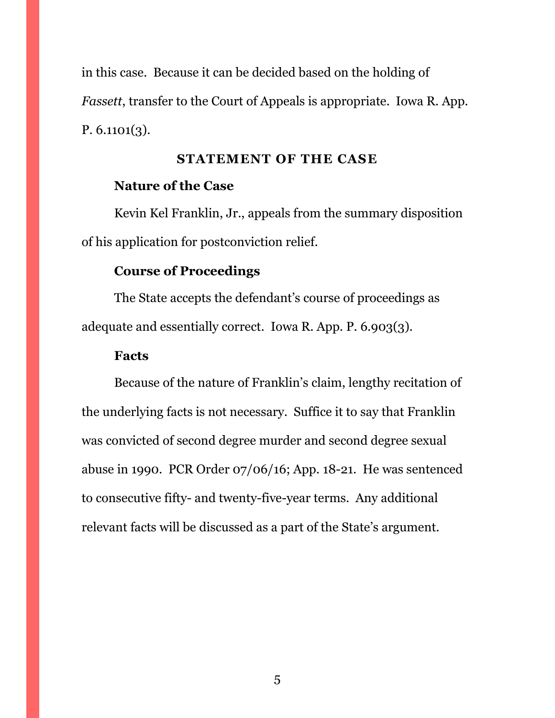in this case. Because it can be decided based on the holding of *Fassett*, transfer to the Court of Appeals is appropriate. Iowa R. App. P. 6.1101(3).

#### **STATEMENT OF THE CASE**

### <span id="page-4-0"></span>**Nature of the Case**

Kevin Kel Franklin, Jr., appeals from the summary disposition of his application for postconviction relief.

## **Course of Proceedings**

The State accepts the defendant's course of proceedings as adequate and essentially correct. Iowa R. App. P. 6.903(3).

#### **Facts**

Because of the nature of Franklin's claim, lengthy recitation of the underlying facts is not necessary. Suffice it to say that Franklin was convicted of second degree murder and second degree sexual abuse in 1990. PCR Order 07/06/16; App. 18-21. He was sentenced to consecutive fifty- and twenty-five-year terms. Any additional relevant facts will be discussed as a part of the State's argument.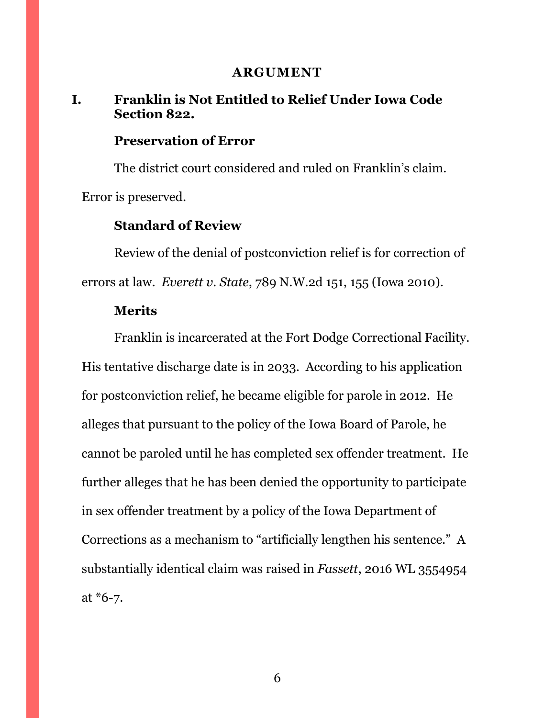#### **ARGUMENT**

## <span id="page-5-1"></span><span id="page-5-0"></span>**I. Franklin is Not Entitled to Relief Under Iowa Code Section 822.**

## **Preservation of Error**

The district court considered and ruled on Franklin's claim. Error is preserved.

## **Standard of Review**

Review of the denial of postconviction relief is for correction of errors at law. *Everett v. State*, 789 N.W.2d 151, 155 (Iowa 2010).

### **Merits**

Franklin is incarcerated at the Fort Dodge Correctional Facility. His tentative discharge date is in 2033. According to his application for postconviction relief, he became eligible for parole in 2012. He alleges that pursuant to the policy of the Iowa Board of Parole, he cannot be paroled until he has completed sex offender treatment. He further alleges that he has been denied the opportunity to participate in sex offender treatment by a policy of the Iowa Department of Corrections as a mechanism to "artificially lengthen his sentence." A substantially identical claim was raised in *Fassett*, 2016 WL 3554954 at \*6-7.

6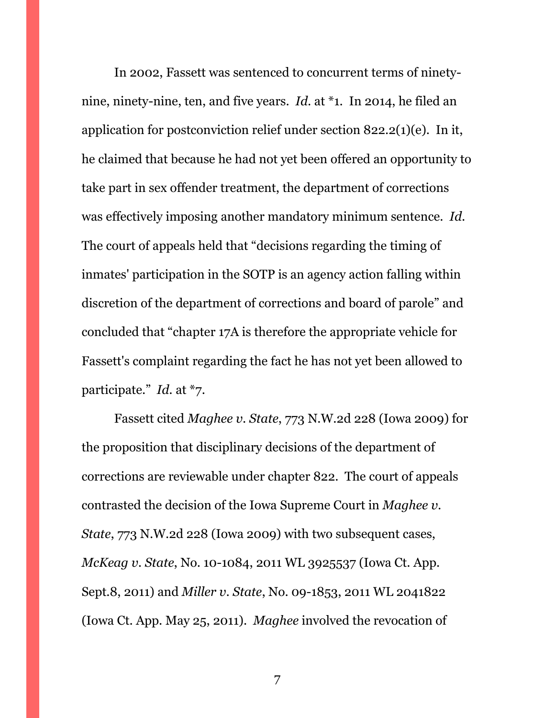In 2002, Fassett was sentenced to concurrent terms of ninetynine, ninety-nine, ten, and five years. *Id.* at \*1. In 2014, he filed an application for postconviction relief under section 822.2(1)(e). In it, he claimed that because he had not yet been offered an opportunity to take part in sex offender treatment, the department of corrections was effectively imposing another mandatory minimum sentence. *Id.* The court of appeals held that "decisions regarding the timing of inmates' participation in the SOTP is an agency action falling within discretion of the department of corrections and board of parole" and concluded that "chapter 17A is therefore the appropriate vehicle for Fassett's complaint regarding the fact he has not yet been allowed to participate." *Id.* at \*7.

Fassett cited *Maghee v. State*, 773 N.W.2d 228 (Iowa 2009) for the proposition that disciplinary decisions of the department of corrections are reviewable under chapter 822. The court of appeals contrasted the decision of the Iowa Supreme Court in *Maghee v. State*, 773 N.W.2d 228 (Iowa 2009) with two subsequent cases, *McKeag v. State*, No. 10-1084, 2011 WL 3925537 (Iowa Ct. App. Sept.8, 2011) and *Miller v. State*, No. 09-1853, 2011 WL 2041822 (Iowa Ct. App. May 25, 2011). *Maghee* involved the revocation of

7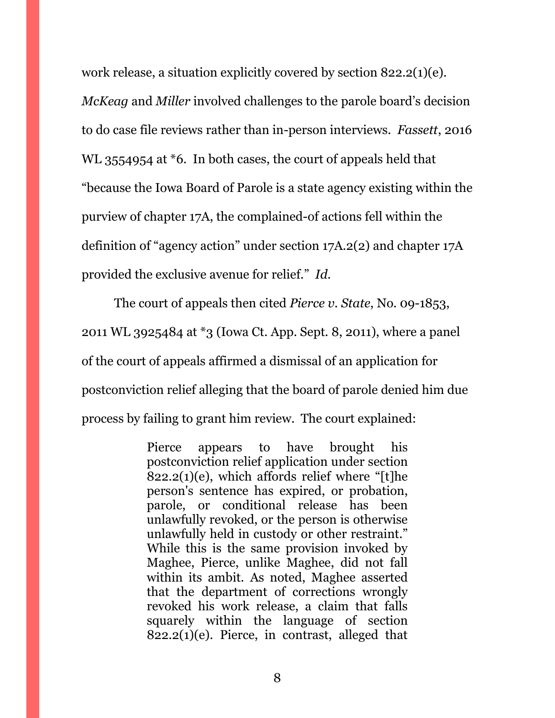work release, a situation explicitly covered by section 822.2(1)(e). *McKeag* and *Miller* involved challenges to the parole board's decision to do case file reviews rather than in-person interviews. *Fassett*, 2016 WL 3554954 at \*6. In both cases, the court of appeals held that "because the Iowa Board of Parole is a state agency existing within the purview of chapter 17A, the complained-of actions fell within the definition of "agency action" under section 17A.2(2) and chapter 17A provided the exclusive avenue for relief." *Id.*

The court of appeals then cited *Pierce v. State*, No. 09-1853, 2011 WL 3925484 at \*3 (Iowa Ct. App. Sept. 8, 2011), where a panel of the court of appeals affirmed a dismissal of an application for postconviction relief alleging that the board of parole denied him due process by failing to grant him review. The court explained:

> Pierce appears to have brought his postconviction relief application under section  $822.2(1)(e)$ , which affords relief where "[t]he person's sentence has expired, or probation, parole, or conditional release has been unlawfully revoked, or the person is otherwise unlawfully held in custody or other restraint." While this is the same provision invoked by Maghee, Pierce, unlike Maghee, did not fall within its ambit. As noted, Maghee asserted that the department of corrections wrongly revoked his work release, a claim that falls squarely within the language of section  $822.2(1)(e)$ . Pierce, in contrast, alleged that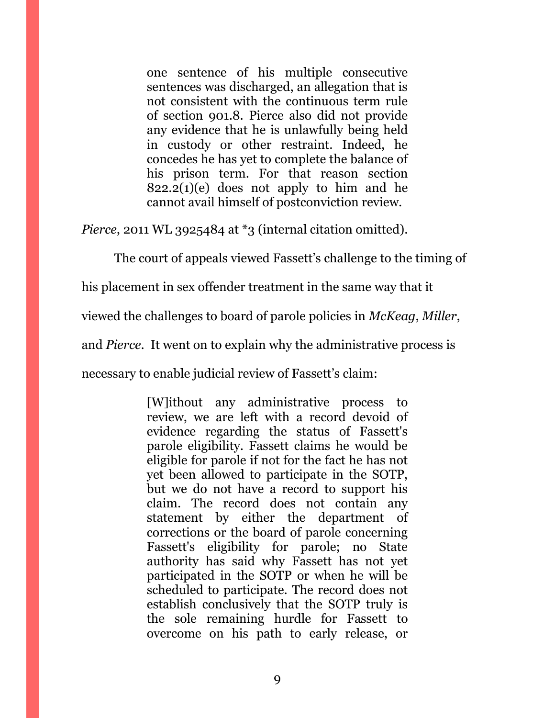one sentence of his multiple consecutive sentences was discharged, an allegation that is not consistent with the continuous term rule of section 901.8. Pierce also did not provide any evidence that he is unlawfully being held in custody or other restraint. Indeed, he concedes he has yet to complete the balance of his prison term. For that reason section  $822.2(1)(e)$  does not apply to him and he cannot avail himself of postconviction review.

*Pierce*, 2011 WL 3925484 at \*3 (internal citation omitted).

The court of appeals viewed Fassett's challenge to the timing of

his placement in sex offender treatment in the same way that it

viewed the challenges to board of parole policies in *McKeag*, *Miller*,

and *Pierce*. It went on to explain why the administrative process is

necessary to enable judicial review of Fassett's claim:

[W]ithout any administrative process to review, we are left with a record devoid of evidence regarding the status of Fassett's parole eligibility. Fassett claims he would be eligible for parole if not for the fact he has not yet been allowed to participate in the SOTP, but we do not have a record to support his claim. The record does not contain any statement by either the department of corrections or the board of parole concerning Fassett's eligibility for parole; no State authority has said why Fassett has not yet participated in the SOTP or when he will be scheduled to participate. The record does not establish conclusively that the SOTP truly is the sole remaining hurdle for Fassett to overcome on his path to early release, or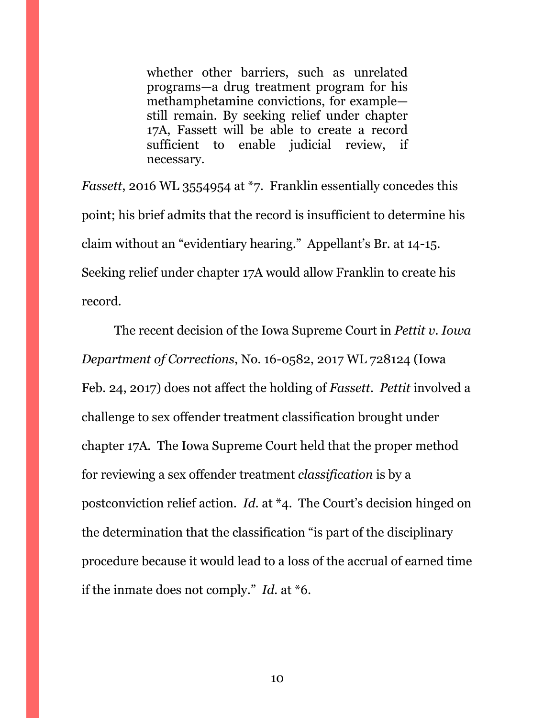whether other barriers, such as unrelated programs—a drug treatment program for his methamphetamine convictions, for example still remain. By seeking relief under chapter 17A, Fassett will be able to create a record sufficient to enable judicial review, if necessary.

*Fassett*, 2016 WL 3554954 at \*7. Franklin essentially concedes this point; his brief admits that the record is insufficient to determine his claim without an "evidentiary hearing." Appellant's Br. at 14-15. Seeking relief under chapter 17A would allow Franklin to create his record.

The recent decision of the Iowa Supreme Court in *Pettit v. Iowa Department of Corrections*, No. 16-0582, 2017 WL 728124 (Iowa Feb. 24, 2017) does not affect the holding of *Fassett*. *Pettit* involved a challenge to sex offender treatment classification brought under chapter 17A. The Iowa Supreme Court held that the proper method for reviewing a sex offender treatment *classification* is by a postconviction relief action. *Id*. at \*4. The Court's decision hinged on the determination that the classification "is part of the disciplinary procedure because it would lead to a loss of the accrual of earned time if the inmate does not comply." *Id.* at \*6.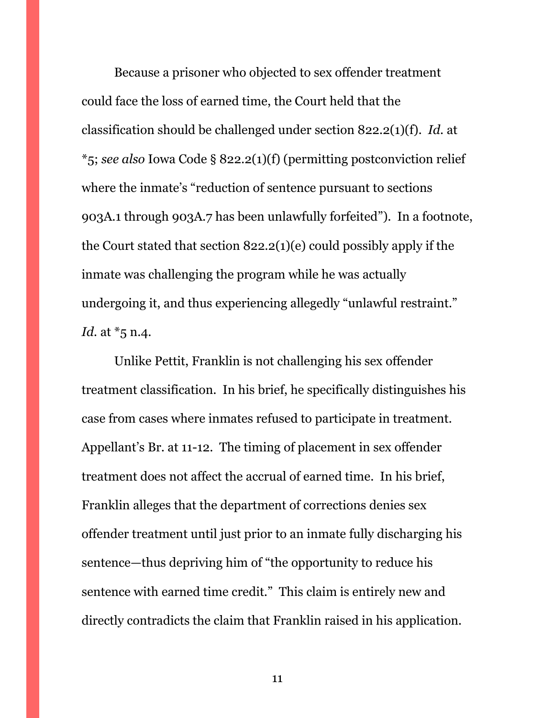Because a prisoner who objected to sex offender treatment could face the loss of earned time, the Court held that the classification should be challenged under section 822.2(1)(f). *Id.* at \*5; *see also* Iowa Code § 822.2(1)(f) (permitting postconviction relief where the inmate's "reduction of sentence pursuant to sections 903A.1 through 903A.7 has been unlawfully forfeited"). In a footnote, the Court stated that section 822.2(1)(e) could possibly apply if the inmate was challenging the program while he was actually undergoing it, and thus experiencing allegedly "unlawful restraint." *Id.* at \*5 n.4.

Unlike Pettit, Franklin is not challenging his sex offender treatment classification. In his brief, he specifically distinguishes his case from cases where inmates refused to participate in treatment. Appellant's Br. at 11-12. The timing of placement in sex offender treatment does not affect the accrual of earned time. In his brief, Franklin alleges that the department of corrections denies sex offender treatment until just prior to an inmate fully discharging his sentence—thus depriving him of "the opportunity to reduce his sentence with earned time credit." This claim is entirely new and directly contradicts the claim that Franklin raised in his application.

11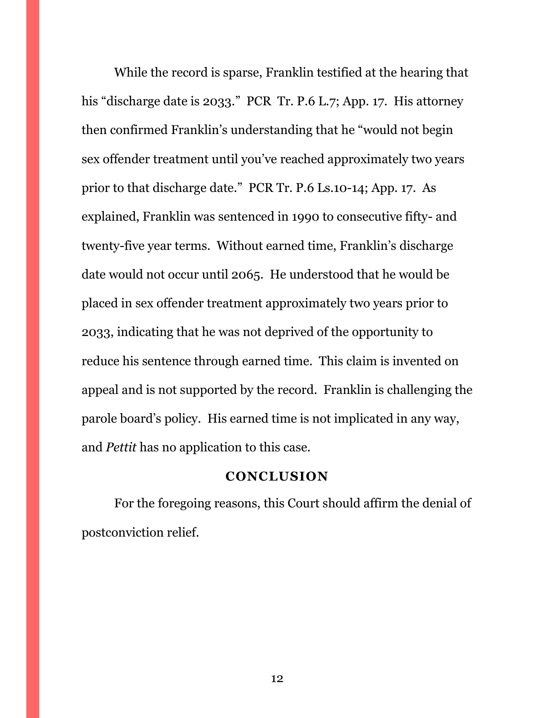While the record is sparse, Franklin testified at the hearing that his "discharge date is 2033." PCR Tr. P.6 L.7; App. 17. His attorney then confirmed Franklin's understanding that he "would not begin sex offender treatment until you've reached approximately two years prior to that discharge date." PCR Tr. P.6 Ls.10-14; App. 17. As explained, Franklin was sentenced in 1990 to consecutive fifty- and twenty-five year terms. Without earned time, Franklin's discharge date would not occur until 2065. He understood that he would be placed in sex offender treatment approximately two years prior to 2033, indicating that he was not deprived of the opportunity to reduce his sentence through earned time. This claim is invented on appeal and is not supported by the record. Franklin is challenging the parole board's policy. His earned time is not implicated in any way, and *Pettit* has no application to this case.

## **CONCLUSION**

<span id="page-11-0"></span>For the foregoing reasons, this Court should affirm the denial of postconviction relief.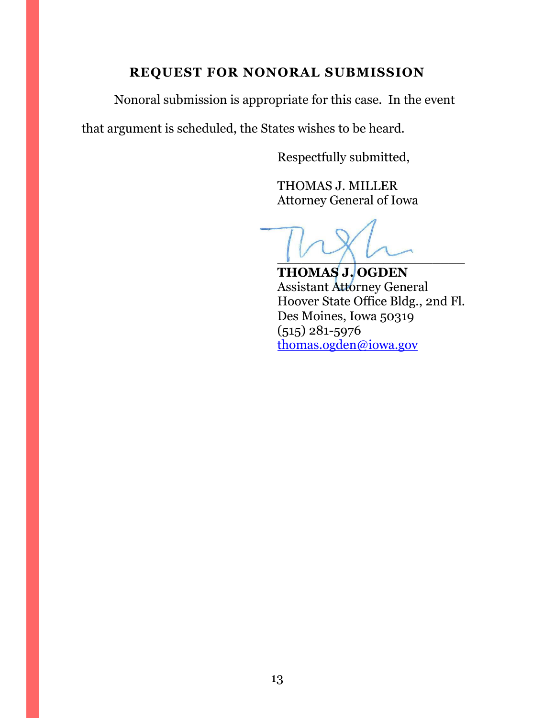# **REQUEST FOR NONORAL SUBMISSION**

<span id="page-12-0"></span>Nonoral submission is appropriate for this case. In the event

that argument is scheduled, the States wishes to be heard.

Respectfully submitted,

THOMAS J. MILLER Attorney General of Iowa

 $\sqrt{2}$ 

**THOMAS J. OGDEN** Assistant Attorney General Hoover State Office Bldg., 2nd Fl. Des Moines, Iowa 50319 (515) 281-5976 [thomas.ogden@iowa.gov](mailto:thomas.ogden@iowa.gov)